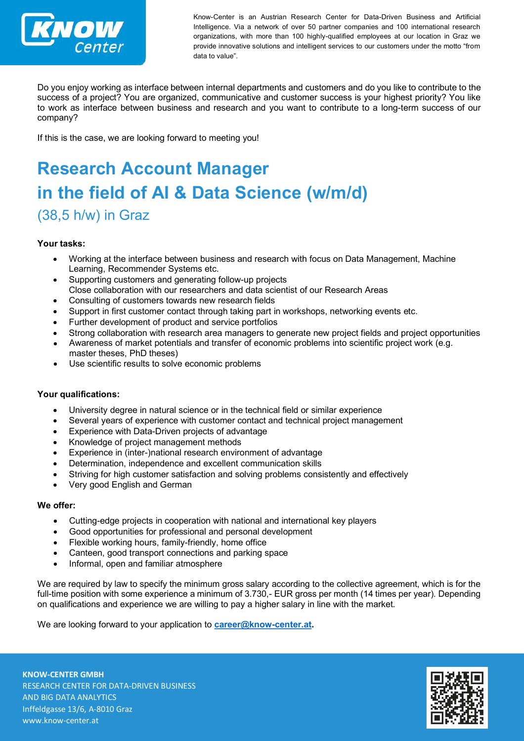

Know-Center is an Austrian Research Center for Data-Driven Business and Artificial Intelligence. Via a network of over 50 partner companies and 100 international research organizations, with more than 100 highly-qualified employees at our location in Graz we provide innovative solutions and intelligent services to our customers under the motto "from data to value".

Do you enjoy working as interface between internal departments and customers and do you like to contribute to the success of a project? You are organized, communicative and customer success is your highest priority? You like to work as interface between business and research and you want to contribute to a long-term success of our company?

If this is the case, we are looking forward to meeting you!

# **Research Account Manager in the field of AI & Data Science (w/m/d)** (38,5 h/w) in Graz

### **Your tasks:**

- Working at the interface between business and research with focus on Data Management, Machine Learning, Recommender Systems etc.
- Supporting customers and generating follow-up projects Close collaboration with our researchers and data scientist of our Research Areas
- Consulting of customers towards new research fields
- Support in first customer contact through taking part in workshops, networking events etc.
- Further development of product and service portfolios
- Strong collaboration with research area managers to generate new project fields and project opportunities
- Awareness of market potentials and transfer of economic problems into scientific project work (e.g. master theses, PhD theses)
- Use scientific results to solve economic problems

### **Your qualifications:**

- University degree in natural science or in the technical field or similar experience
- Several years of experience with customer contact and technical project management
- Experience with Data-Driven projects of advantage
- Knowledge of project management methods
- Experience in (inter-)national research environment of advantage
- Determination, independence and excellent communication skills
- Striving for high customer satisfaction and solving problems consistently and effectively
- Very good English and German

### **We offer:**

- Cutting-edge projects in cooperation with national and international key players
- Good opportunities for professional and personal development
- Flexible working hours, family-friendly, home office
- Canteen, good transport connections and parking space
- Informal, open and familiar atmosphere

We are required by law to specify the minimum gross salary according to the collective agreement, which is for the full-time position with some experience a minimum of 3.730,- EUR gross per month (14 times per year). Depending on qualifications and experience we are willing to pay a higher salary in line with the market.

We are looking forward to your application to **[career@know-center.at.](mailto:career@know-center.at)**